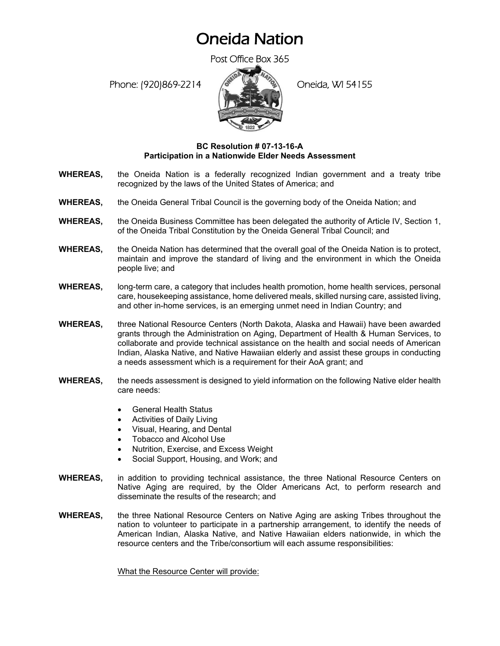## Oneida Nation

Post Office Box 365

Phone: (920)869-2214 (Oneida, WI 54155



## **BC Resolution # 07-13-16-A Participation in a Nationwide Elder Needs Assessment**

- **WHEREAS,** the Oneida Nation is a federally recognized Indian government and a treaty tribe recognized by the laws of the United States of America; and
- **WHEREAS,** the Oneida General Tribal Council is the governing body of the Oneida Nation; and
- **WHEREAS,** the Oneida Business Committee has been delegated the authority of Article IV, Section 1, of the Oneida Tribal Constitution by the Oneida General Tribal Council; and
- **WHEREAS,** the Oneida Nation has determined that the overall goal of the Oneida Nation is to protect, maintain and improve the standard of living and the environment in which the Oneida people live; and
- **WHEREAS,** long-term care, a category that includes health promotion, home health services, personal care, housekeeping assistance, home delivered meals, skilled nursing care, assisted living, and other in-home services, is an emerging unmet need in Indian Country; and
- **WHEREAS,** three National Resource Centers (North Dakota, Alaska and Hawaii) have been awarded grants through the Administration on Aging, Department of Health & Human Services, to collaborate and provide technical assistance on the health and social needs of American Indian, Alaska Native, and Native Hawaiian elderly and assist these groups in conducting a needs assessment which is a requirement for their AoA grant; and
- **WHEREAS,** the needs assessment is designed to yield information on the following Native elder health care needs:
	- General Health Status
	- Activities of Daily Living
	- Visual, Hearing, and Dental
	- Tobacco and Alcohol Use
	- Nutrition, Exercise, and Excess Weight
	- Social Support, Housing, and Work; and
- **WHEREAS,** in addition to providing technical assistance, the three National Resource Centers on Native Aging are required, by the Older Americans Act, to perform research and disseminate the results of the research; and
- **WHEREAS,** the three National Resource Centers on Native Aging are asking Tribes throughout the nation to volunteer to participate in a partnership arrangement, to identify the needs of American Indian, Alaska Native, and Native Hawaiian elders nationwide, in which the resource centers and the Tribe/consortium will each assume responsibilities:

What the Resource Center will provide: